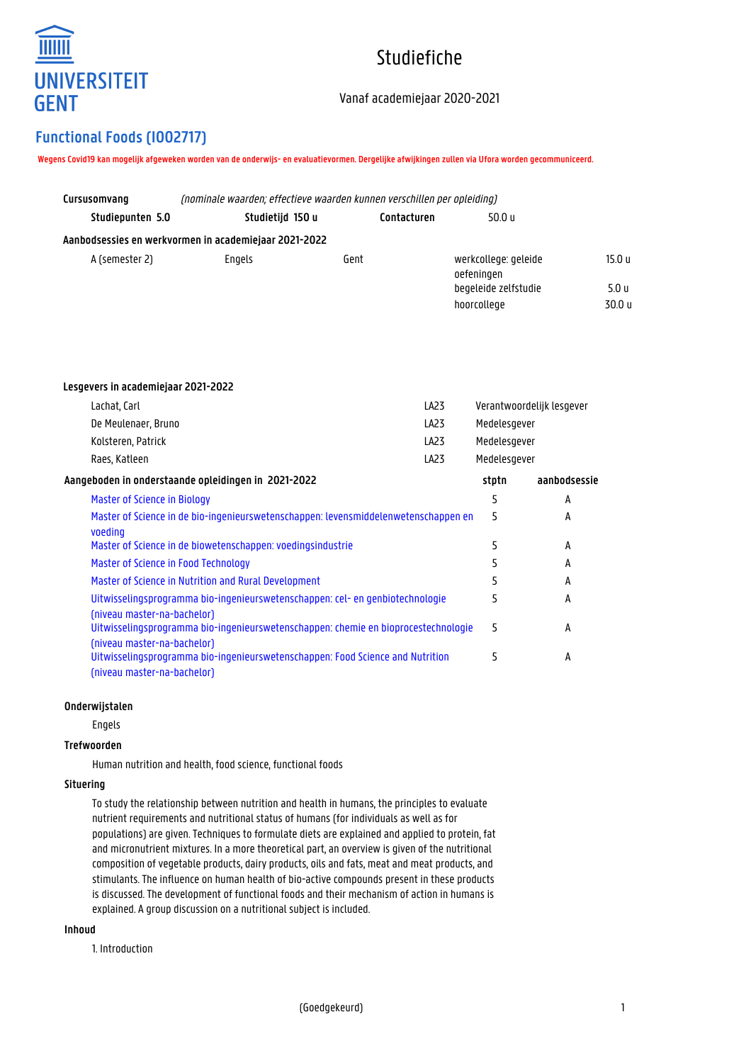

# Studiefiche

## Vanaf academiejaar 2020-2021

# **Functional Foods (I002717)**

**Wegens Covid19 kan mogelijk afgeweken worden van de onderwijs- en evaluatievormen. Dergelijke afwijkingen zullen via Ufora worden gecommuniceerd.**

| Cursusomvang                                          | (nominale waarden: effectieve waarden kunnen verschillen per opleiding) |             |                                    |        |  |
|-------------------------------------------------------|-------------------------------------------------------------------------|-------------|------------------------------------|--------|--|
| Studiepunten 5.0                                      | Studietijd 150 u                                                        | Contacturen | 50.0 u                             |        |  |
| Aanbodsessies en werkvormen in academiejaar 2021-2022 |                                                                         |             |                                    |        |  |
| A (semester 2)                                        | Engels                                                                  | Gent        | werkcollege: geleide<br>oefeningen | 15.0 u |  |
|                                                       |                                                                         |             | begeleide zelfstudie               | 5.0 u  |  |
|                                                       |                                                                         |             | hoorcollege                        | 30.0 u |  |

| Lesgevers in academiejaar 2021-2022                                                                               |              |                           |
|-------------------------------------------------------------------------------------------------------------------|--------------|---------------------------|
| Lachat, Carl<br>LA23                                                                                              |              | Verantwoordelijk lesgever |
| De Meulenaer, Bruno<br>LA23                                                                                       | Medelesgever |                           |
| Kolsteren, Patrick<br>LA23                                                                                        | Medelesgever |                           |
| LA23<br>Raes, Katleen                                                                                             | Medelesgever |                           |
| Aangeboden in onderstaande opleidingen in 2021-2022                                                               | stptn        | aanbodsessie              |
| Master of Science in Biology                                                                                      | 5            | A                         |
| Master of Science in de bio-ingenieurswetenschappen: levensmiddelenwetenschappen en<br>voeding                    | 5            | А                         |
| Master of Science in de biowetenschappen: voedingsindustrie                                                       | 5            | A                         |
| Master of Science in Food Technology                                                                              | 5            | A                         |
| Master of Science in Nutrition and Rural Development                                                              | 5            | A                         |
| Uitwisselingsprogramma bio-ingenieurswetenschappen: cel- en genbiotechnologie<br>(niveau master-na-bachelor)      | 5            | A                         |
| Uitwisselingsprogramma bio-ingenieurswetenschappen: chemie en bioprocestechnologie<br>(niveau master-na-bachelor) | 5            | А                         |
| Uitwisselingsprogramma bio-ingenieurswetenschappen: Food Science and Nutrition<br>(niveau master-na-bachelor)     | 5            | А                         |

#### **Onderwijstalen**

Engels

#### **Trefwoorden**

Human nutrition and health, food science, functional foods

#### **Situering**

To study the relationship between nutrition and health in humans, the principles to evaluate nutrient requirements and nutritional status of humans (for individuals as well as for populations) are given. Techniques to formulate diets are explained and applied to protein, fat and micronutrient mixtures. In a more theoretical part, an overview is given of the nutritional composition of vegetable products, dairy products, oils and fats, meat and meat products, and stimulants. The influence on human health of bio-active compounds present in these products is discussed. The development of functional foods and their mechanism of action in humans is explained. A group discussion on a nutritional subject is included.

#### **Inhoud**

1. Introduction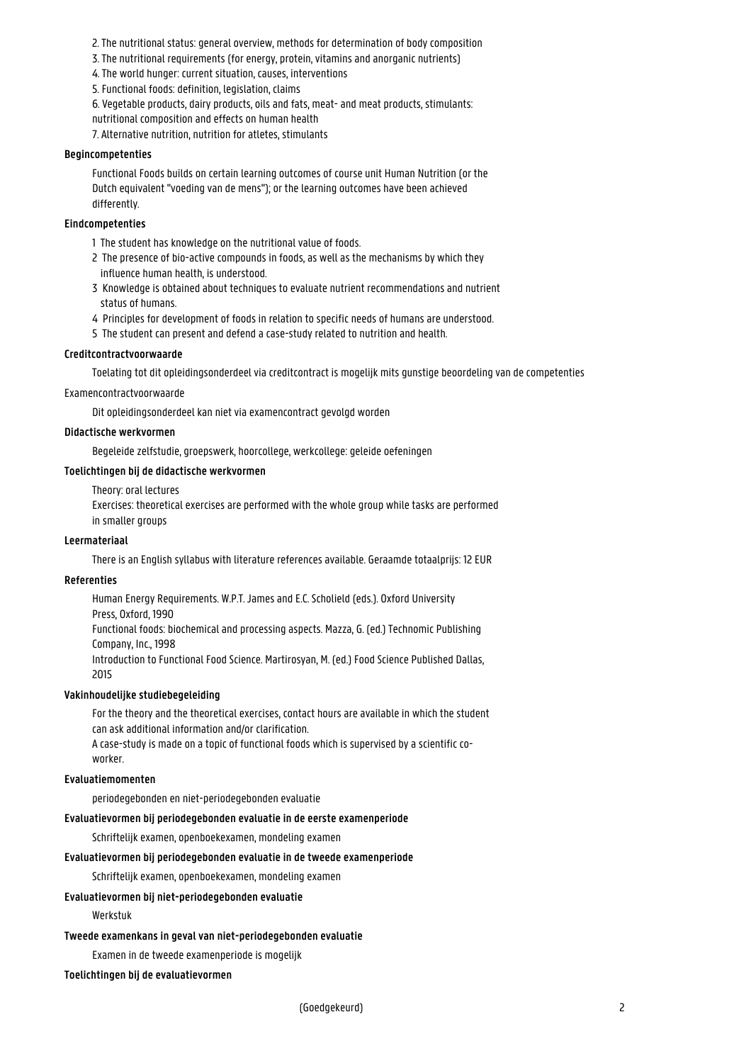- 2. The nutritional status: general overview, methods for determination of body composition
- 3. The nutritional requirements (for energy, protein, vitamins and anorganic nutrients)

4. The world hunger: current situation, causes, interventions

5. Functional foods: definition, legislation, claims

6. Vegetable products, dairy products, oils and fats, meat- and meat products, stimulants: nutritional composition and effects on human health

7. Alternative nutrition, nutrition for atletes, stimulants

#### **Begincompetenties**

Functional Foods builds on certain learning outcomes of course unit Human Nutrition (or the Dutch equivalent "voeding van de mens"); or the learning outcomes have been achieved differently.

#### **Eindcompetenties**

- 1 The student has knowledge on the nutritional value of foods.
- 2 The presence of bio-active compounds in foods, as well as the mechanisms by which they influence human health, is understood.
- 3 Knowledge is obtained about techniques to evaluate nutrient recommendations and nutrient status of humans.
- 4 Principles for development of foods in relation to specific needs of humans are understood.
- 5 The student can present and defend a case-study related to nutrition and health.

#### **Creditcontractvoorwaarde**

Toelating tot dit opleidingsonderdeel via creditcontract is mogelijk mits gunstige beoordeling van de competenties

#### Examencontractvoorwaarde

Dit opleidingsonderdeel kan niet via examencontract gevolgd worden

#### **Didactische werkvormen**

Begeleide zelfstudie, groepswerk, hoorcollege, werkcollege: geleide oefeningen

#### **Toelichtingen bij de didactische werkvormen**

Theory: oral lectures

Exercises: theoretical exercises are performed with the whole group while tasks are performed in smaller groups

#### **Leermateriaal**

There is an English syllabus with literature references available. Geraamde totaalprijs: 12 EUR

#### **Referenties**

Human Energy Requirements. W.P.T. James and E.C. Scholield (eds.). Oxford University Press, Oxford, 1990 Functional foods: biochemical and processing aspects. Mazza, G. (ed.) Technomic Publishing Company, Inc., 1998 Introduction to Functional Food Science. Martirosyan, M. (ed.) Food Science Published Dallas, 2015

#### **Vakinhoudelijke studiebegeleiding**

For the theory and the theoretical exercises, contact hours are available in which the student can ask additional information and/or clarification.

A case-study is made on a topic of functional foods which is supervised by a scientific coworker.

#### **Evaluatiemomenten**

periodegebonden en niet-periodegebonden evaluatie

#### **Evaluatievormen bij periodegebonden evaluatie in de eerste examenperiode**

Schriftelijk examen, openboekexamen, mondeling examen

#### **Evaluatievormen bij periodegebonden evaluatie in de tweede examenperiode**

Schriftelijk examen, openboekexamen, mondeling examen

#### **Evaluatievormen bij niet-periodegebonden evaluatie**

#### Werkstuk

#### **Tweede examenkans in geval van niet-periodegebonden evaluatie**

Examen in de tweede examenperiode is mogelijk

#### **Toelichtingen bij de evaluatievormen**